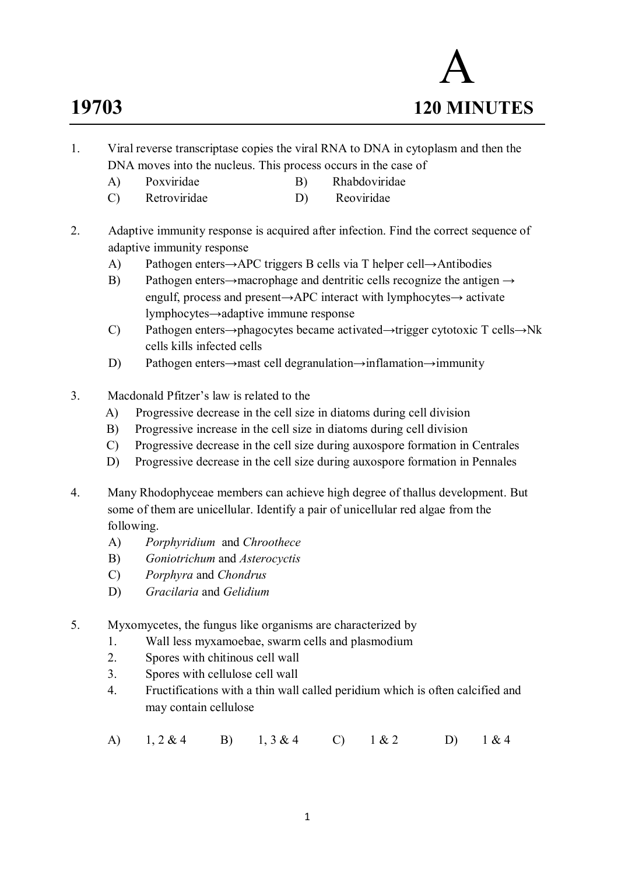# A **19703 120 MINUTES**

- 1. Viral reverse transcriptase copies the viral RNA to DNA in cytoplasm and then the DNA moves into the nucleus. This process occurs in the case of
	- A) Poxviridae B) Rhabdoviridae
	- C) Retroviridae D) Reoviridae
- 2. Adaptive immunity response is acquired after infection. Find the correct sequence of adaptive immunity response
	- A) Pathogen enters→APC triggers B cells via T helper cell→Antibodies
	- B) Pathogen enters→macrophage and dentritic cells recognize the antigen  $\rightarrow$ engulf, process and present→APC interact with lymphocytes→ activate lymphocytes→adaptive immune response
	- C) Pathogen enters→phagocytes became activated→trigger cytotoxic T cells→Nk cells kills infected cells
	- D) Pathogen enters→mast cell degranulation→inflamation→immunity
- 3. Macdonald Pfitzer's law is related to the
	- A) Progressive decrease in the cell size in diatoms during cell division
	- B) Progressive increase in the cell size in diatoms during cell division
	- C) Progressive decrease in the cell size during auxospore formation in Centrales
	- D) Progressive decrease in the cell size during auxospore formation in Pennales
- 4. Many Rhodophyceae members can achieve high degree of thallus development. But some of them are unicellular. Identify a pair of unicellular red algae from the following.
	- A) *Porphyridium* and *Chroothece*
	- B) *Goniotrichum* and *Asterocyctis*
	- C) *Porphyra* and *Chondrus*
	- D) *Gracilaria* and *Gelidium*
- 5. Myxomycetes, the fungus like organisms are characterized by
	- 1. Wall less myxamoebae, swarm cells and plasmodium
	- 2. Spores with chitinous cell wall
	- 3. Spores with cellulose cell wall
	- 4. Fructifications with a thin wall called peridium which is often calcified and may contain cellulose
	- A) 1, 2 & 4 B) 1, 3 & 4 C) 1 & 2 D) 1 & 4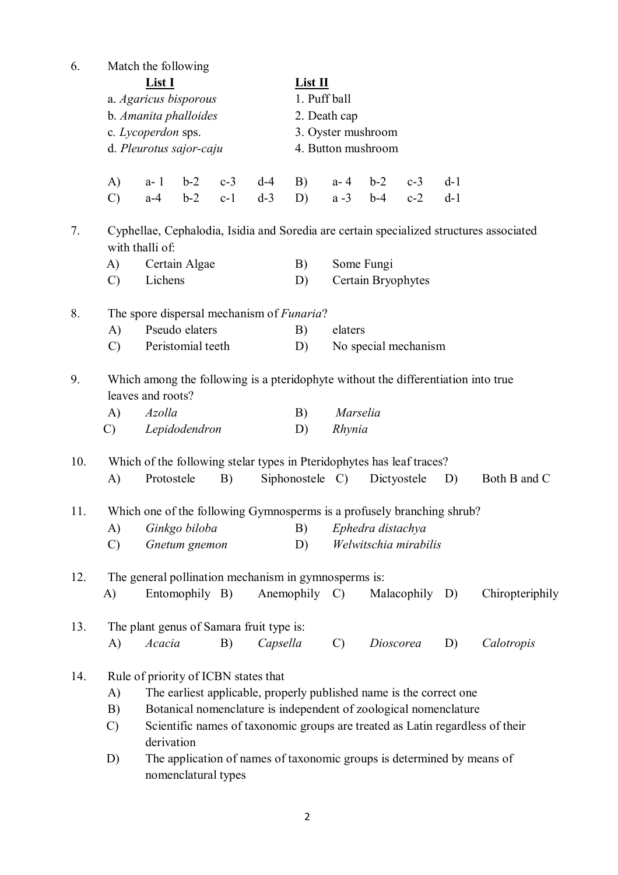| 6.  | Match the following                                                                                    |                                                                                               |                |       |          |            |                                                                                         |                    |             |       |                                                                               |  |  |  |
|-----|--------------------------------------------------------------------------------------------------------|-----------------------------------------------------------------------------------------------|----------------|-------|----------|------------|-----------------------------------------------------------------------------------------|--------------------|-------------|-------|-------------------------------------------------------------------------------|--|--|--|
|     |                                                                                                        | <b>List I</b>                                                                                 |                |       |          |            | List II                                                                                 |                    |             |       |                                                                               |  |  |  |
|     | a. Agaricus bisporous<br>b. Amanita phalloides<br>c. Lycoperdon sps.<br>d. Pleurotus sajor-caju        |                                                                                               |                |       |          |            | 1. Puff ball                                                                            |                    |             |       |                                                                               |  |  |  |
|     |                                                                                                        |                                                                                               |                |       |          |            | 2. Death cap                                                                            |                    |             |       |                                                                               |  |  |  |
|     |                                                                                                        |                                                                                               |                |       |          |            | 3. Oyster mushroom                                                                      |                    |             |       |                                                                               |  |  |  |
|     |                                                                                                        |                                                                                               |                |       |          |            | 4. Button mushroom                                                                      |                    |             |       |                                                                               |  |  |  |
|     | A)                                                                                                     | a- 1                                                                                          | $b-2$          | $c-3$ | $d-4$    | B)         | $a - 4$                                                                                 | $b-2$              | $c-3$       | $d-1$ |                                                                               |  |  |  |
|     | $\mathcal{C}$                                                                                          | $a-4$                                                                                         | $b-2$          | $c-1$ | $d-3$    | D)         | $a - 3$                                                                                 | $b-4$              | $c-2$       | $d-1$ |                                                                               |  |  |  |
| 7.  |                                                                                                        | with thalli of:                                                                               |                |       |          |            | Cyphellae, Cephalodia, Isidia and Soredia are certain specialized structures associated |                    |             |       |                                                                               |  |  |  |
|     | Certain Algae<br>A)                                                                                    |                                                                                               |                |       |          |            | Some Fungi<br>B)                                                                        |                    |             |       |                                                                               |  |  |  |
|     | $\mathcal{C}$                                                                                          | Lichens                                                                                       |                |       |          | D)         |                                                                                         | Certain Bryophytes |             |       |                                                                               |  |  |  |
| 8.  | The spore dispersal mechanism of <i>Funaria</i> ?                                                      |                                                                                               |                |       |          |            |                                                                                         |                    |             |       |                                                                               |  |  |  |
|     | Pseudo elaters<br>A)                                                                                   |                                                                                               |                |       |          |            | elaters<br>B)                                                                           |                    |             |       |                                                                               |  |  |  |
|     | $\mathcal{C}$                                                                                          | Peristomial teeth<br>D)<br>No special mechanism                                               |                |       |          |            |                                                                                         |                    |             |       |                                                                               |  |  |  |
| 9.  | Which among the following is a pteridophyte without the differentiation into true<br>leaves and roots? |                                                                                               |                |       |          |            |                                                                                         |                    |             |       |                                                                               |  |  |  |
|     | A)                                                                                                     | Azolla                                                                                        |                |       |          |            | Marselia<br>B)                                                                          |                    |             |       |                                                                               |  |  |  |
|     | $\mathcal{C}$                                                                                          | Lepidodendron<br>D)<br>Rhynia                                                                 |                |       |          |            |                                                                                         |                    |             |       |                                                                               |  |  |  |
| 10. | Which of the following stelar types in Pteridophytes has leaf traces?                                  |                                                                                               |                |       |          |            |                                                                                         |                    |             |       |                                                                               |  |  |  |
|     | A)                                                                                                     | Protostele                                                                                    |                | B)    |          |            | Siphonostele C)                                                                         |                    | Dictyostele | D)    | Both B and C                                                                  |  |  |  |
| 11. |                                                                                                        | Which one of the following Gymnosperms is a profusely branching shrub?                        |                |       |          |            |                                                                                         |                    |             |       |                                                                               |  |  |  |
|     |                                                                                                        | A) Ginkgo biloba (B) Ephedra distachya                                                        |                |       |          |            |                                                                                         |                    |             |       |                                                                               |  |  |  |
|     | $\mathcal{C}$                                                                                          |                                                                                               | Gnetum gnemon  |       |          | D)         | Welwitschia mirabilis                                                                   |                    |             |       |                                                                               |  |  |  |
| 12. | The general pollination mechanism in gymnosperms is:                                                   |                                                                                               |                |       |          |            |                                                                                         |                    |             |       |                                                                               |  |  |  |
|     | A)                                                                                                     |                                                                                               | Entomophily B) |       |          | Anemophily | $\mathcal{C}$                                                                           |                    | Malacophily | D)    | Chiropteriphily                                                               |  |  |  |
| 13. |                                                                                                        | The plant genus of Samara fruit type is:                                                      |                |       |          |            |                                                                                         |                    |             |       |                                                                               |  |  |  |
|     | A)                                                                                                     | Acacia                                                                                        |                | B)    | Capsella |            | $\mathcal{C}$                                                                           | Dioscorea          |             | D)    | Calotropis                                                                    |  |  |  |
| 14. | Rule of priority of ICBN states that                                                                   |                                                                                               |                |       |          |            |                                                                                         |                    |             |       |                                                                               |  |  |  |
|     | The earliest applicable, properly published name is the correct one<br>A)                              |                                                                                               |                |       |          |            |                                                                                         |                    |             |       |                                                                               |  |  |  |
|     | B)                                                                                                     | Botanical nomenclature is independent of zoological nomenclature                              |                |       |          |            |                                                                                         |                    |             |       |                                                                               |  |  |  |
|     | $\mathcal{C}$                                                                                          | derivation                                                                                    |                |       |          |            |                                                                                         |                    |             |       | Scientific names of taxonomic groups are treated as Latin regardless of their |  |  |  |
|     | D)                                                                                                     | The application of names of taxonomic groups is determined by means of<br>nomenclatural types |                |       |          |            |                                                                                         |                    |             |       |                                                                               |  |  |  |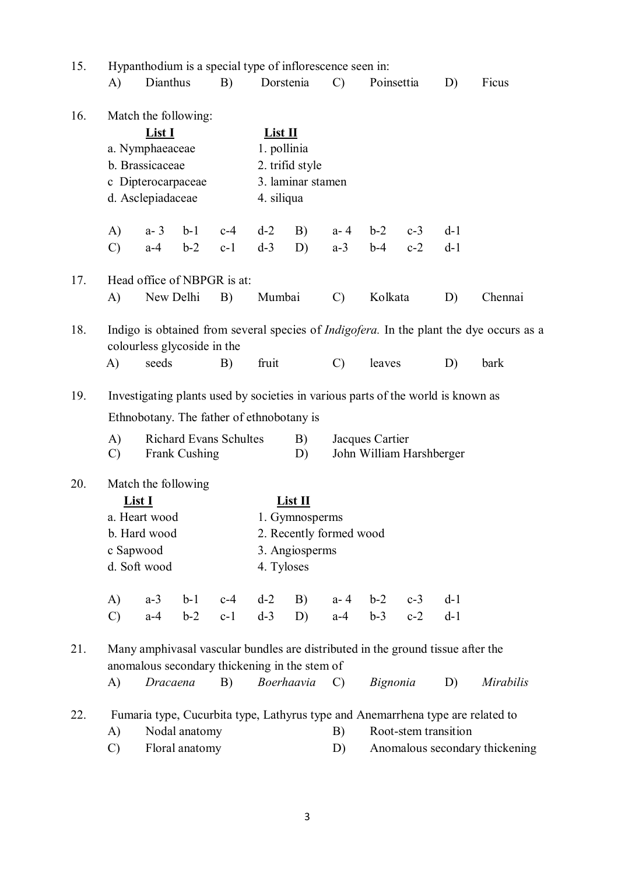| 15. | Hypanthodium is a special type of inflorescence seen in:                                                                         |           |               |                                                                              |                                                                        |            |               |                                |       |       |                  |  |
|-----|----------------------------------------------------------------------------------------------------------------------------------|-----------|---------------|------------------------------------------------------------------------------|------------------------------------------------------------------------|------------|---------------|--------------------------------|-------|-------|------------------|--|
|     | A)                                                                                                                               | Dianthus  |               | B)                                                                           |                                                                        | Dorstenia  | $\mathcal{C}$ | Poinsettia                     |       | D)    | Ficus            |  |
| 16. | Match the following:<br>List I<br>a. Nymphaeaceae<br>b. Brassicaceae<br>c Dipterocarpaceae<br>d. Asclepiadaceae                  |           |               | List II<br>1. pollinia<br>2. trifid style<br>3. laminar stamen<br>4. siliqua |                                                                        |            |               |                                |       |       |                  |  |
|     | A)                                                                                                                               | $a - 3$   | $b-1$         | $c-4$                                                                        | $d-2$                                                                  | B)         | $a - 4$       | $b-2$                          | $c-3$ | $d-1$ |                  |  |
|     | $\mathcal{C}$                                                                                                                    | $a-4$     | $b-2$         | $c-1$                                                                        | $d-3$                                                                  | D)         | $a-3$         | $b-4$                          | $c-2$ | $d-1$ |                  |  |
| 17. | Head office of NBPGR is at:                                                                                                      |           |               |                                                                              |                                                                        |            |               |                                |       |       |                  |  |
|     | A)                                                                                                                               | New Delhi |               | B)                                                                           | Mumbai                                                                 |            | $\mathcal{C}$ | Kolkata                        |       | D)    | Chennai          |  |
| 18. | Indigo is obtained from several species of <i>Indigofera</i> . In the plant the dye occurs as a<br>colourless glycoside in the   |           |               |                                                                              |                                                                        |            |               |                                |       |       |                  |  |
|     | A)                                                                                                                               | seeds     |               | B)                                                                           | fruit                                                                  |            | $\mathcal{C}$ | leaves                         |       | D)    | bark             |  |
| 19. | Investigating plants used by societies in various parts of the world is known as                                                 |           |               |                                                                              |                                                                        |            |               |                                |       |       |                  |  |
|     | Ethnobotany. The father of ethnobotany is                                                                                        |           |               |                                                                              |                                                                        |            |               |                                |       |       |                  |  |
|     | A)<br>$\mathcal{C}$                                                                                                              |           | Frank Cushing | <b>Richard Evans Schultes</b>                                                | Jacques Cartier<br>B)<br>John William Harshberger<br>D)                |            |               |                                |       |       |                  |  |
| 20. | Match the following<br>List I<br>a. Heart wood<br>b. Hard wood<br>c Sapwood<br>d. Soft wood                                      |           |               | 4. Tyloses                                                                   | List II<br>1. Gymnosperms<br>2. Recently formed wood<br>3. Angiosperms |            |               |                                |       |       |                  |  |
|     | A)                                                                                                                               | $a-3$     | $b-1$         | $c-4$                                                                        | $d-2$                                                                  | B)         |               | $a - 4$ $b - 2$                | $c-3$ | $d-1$ |                  |  |
|     | $\mathcal{C}$                                                                                                                    | $a-4$     | $b-2$         | $c-1$                                                                        | $d-3$                                                                  | D)         | $a-4$         | $b-3$                          | $c-2$ | $d-1$ |                  |  |
| 21. | Many amphivasal vascular bundles are distributed in the ground tissue after the<br>anomalous secondary thickening in the stem of |           |               |                                                                              |                                                                        |            |               |                                |       |       |                  |  |
|     | A)                                                                                                                               |           | Dracaena      | B)                                                                           |                                                                        | Boerhaavia | $\mathcal{C}$ | Bignonia                       |       | D)    | <i>Mirabilis</i> |  |
| 22. | Fumaria type, Cucurbita type, Lathyrus type and Anemarrhena type are related to                                                  |           |               |                                                                              |                                                                        |            |               |                                |       |       |                  |  |
|     | Nodal anatomy<br>A)                                                                                                              |           |               |                                                                              |                                                                        |            |               | Root-stem transition<br>B)     |       |       |                  |  |
|     | $\mathcal{C}$<br>Floral anatomy                                                                                                  |           |               |                                                                              |                                                                        |            |               | Anomalous secondary thickening |       |       |                  |  |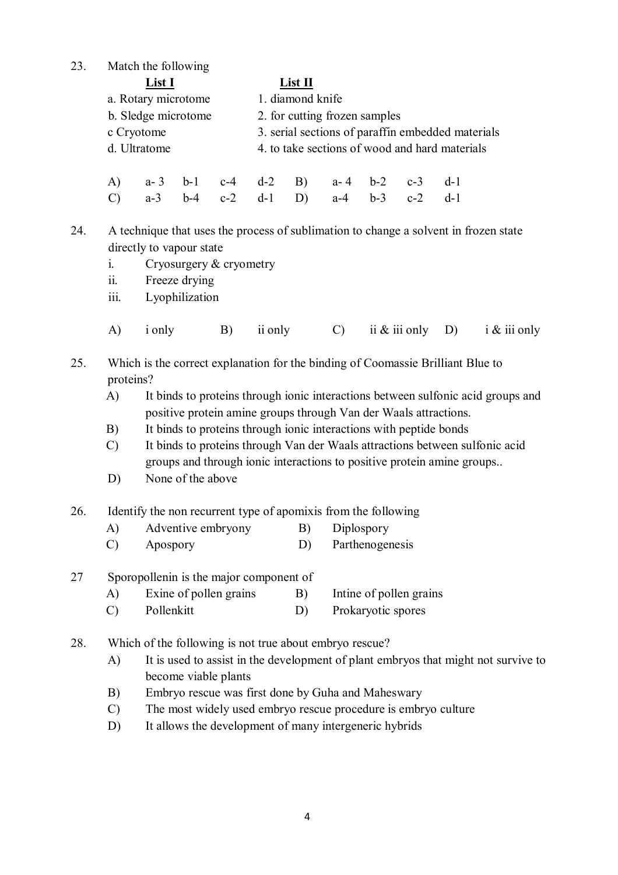23. Match the following

| List I              | List II                                           |
|---------------------|---------------------------------------------------|
| a. Rotary microtome | 1. diamond knife                                  |
| b. Sledge microtome | 2. for cutting frozen samples                     |
| c Cryotome          | 3. serial sections of paraffine mbedded materials |
| d. Ultratome        | 4. to take sections of wood and hard materials    |
|                     |                                                   |

|  |  |  | A) a-3 b-1 c-4 d-2 B) a-4 b-2 c-3 d-1 |  |  |
|--|--|--|---------------------------------------|--|--|
|  |  |  | C) a-3 b-4 c-2 d-1 D) a-4 b-3 c-2 d-1 |  |  |

24. A technique that uses the process of sublimation to change a solvent in frozen state directly to vapour state

- i. Cryosurgery & cryometry
- ii. Freeze drying
- iii. Lyophilization
- A) i only B) ii only C) ii & iii only D) i & iii only
- 25. Which is the correct explanation for the binding of Coomassie Brilliant Blue to proteins?
	- A) It binds to proteins through ionic interactions between sulfonic acid groups and positive protein amine groups through Van der Waals attractions.
	- B) It binds to proteins through ionic interactions with peptide bonds
	- C) It binds to proteins through Van der Waals attractions between sulfonic acid groups and through ionic interactions to positive protein amine groups..
	- D) None of the above
- 26. Identify the non recurrent type of apomixis from the following
	- A) Adventive embryony B) Diplospory
	- C) Apospory D) Parthenogenesis

#### 27 Sporopollenin is the major component of

- A) Exine of pollen grains B) Intine of pollen grains
- C) Pollenkitt D) Prokaryotic spores
- 28. Which of the following is not true about embryo rescue?
	- A) It is used to assist in the development of plant embryos that might not survive to become viable plants
	- B) Embryo rescue was first done by Guha and Maheswary
	- C) The most widely used embryo rescue procedure is embryo culture
	- D) It allows the development of many intergeneric hybrids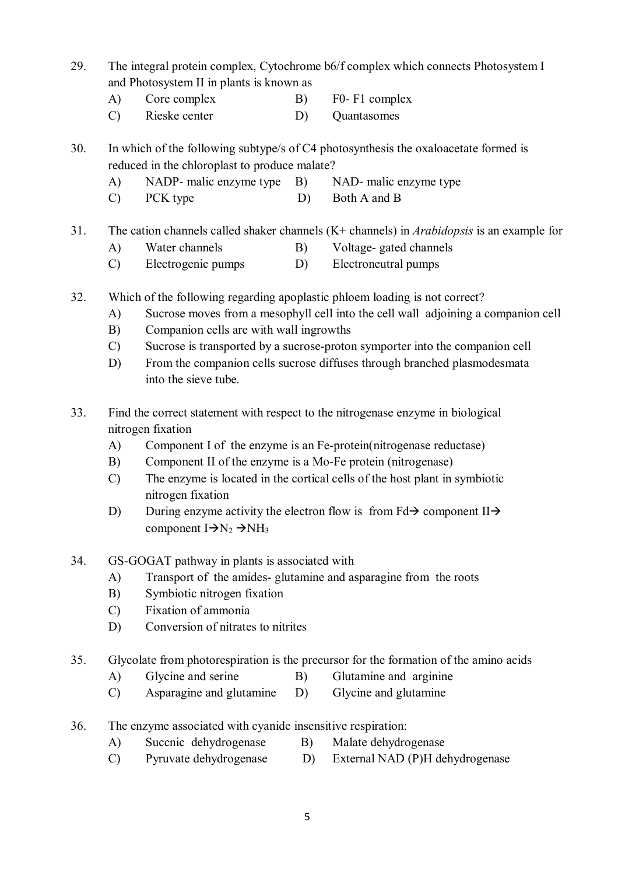- 29. The integral protein complex, Cytochrome b6/f complex which connects Photosystem I and Photosystem II in plants is known as
	- A) Core complex B) F0- F1 complex
	- C) Rieske center D) Quantasomes

30. In which of the following subtype/s of C4 photosynthesis the oxaloacetate formed is reduced in the chloroplast to produce malate?

- A) NADP- malic enzyme type B) NAD- malic enzyme type
- C) PCK type D) Both A and B

# 31. The cation channels called shaker channels (K+ channels) in *Arabidopsis* is an example for

- A) Water channels B) Voltage- gated channels
- C) Electrogenic pumps D) Electroneutral pumps
- 32. Which of the following regarding apoplastic phloem loading is not correct?
	- A) Sucrose moves from a mesophyll cell into the cell wall adjoining a companion cell
	- B) Companion cells are with wall ingrowths
	- C) Sucrose is transported by a sucrose-proton symporter into the companion cell
	- D) From the companion cells sucrose diffuses through branched plasmodesmata into the sieve tube.
- 33. Find the correct statement with respect to the nitrogenase enzyme in biological nitrogen fixation
	- A) Component I of the enzyme is an Fe-protein(nitrogenase reductase)
	- B) Component II of the enzyme is a Mo-Fe protein (nitrogenase)
	- C) The enzyme is located in the cortical cells of the host plant in symbiotic nitrogen fixation
	- D) During enzyme activity the electron flow is from  $Fd\rightarrow$  component II $\rightarrow$ component  $I \rightarrow N_2 \rightarrow NH_3$
- 34. GS-GOGAT pathway in plants is associated with
	- A) Transport of the amides- glutamine and asparagine from the roots
	- B) Symbiotic nitrogen fixation
	- C) Fixation of ammonia
	- D) Conversion of nitrates to nitrites
- 35. Glycolate from photorespiration is the precursor for the formation of the amino acids
	- A) Glycine and serine B) Glutamine and arginine
	- C) Asparagine and glutamine D) Glycine and glutamine
- 36. The enzyme associated with cyanide insensitive respiration:
	- A) Succnic dehydrogenase B) Malate dehydrogenase
	- C) Pyruvate dehydrogenase D) External NAD (P)H dehydrogenase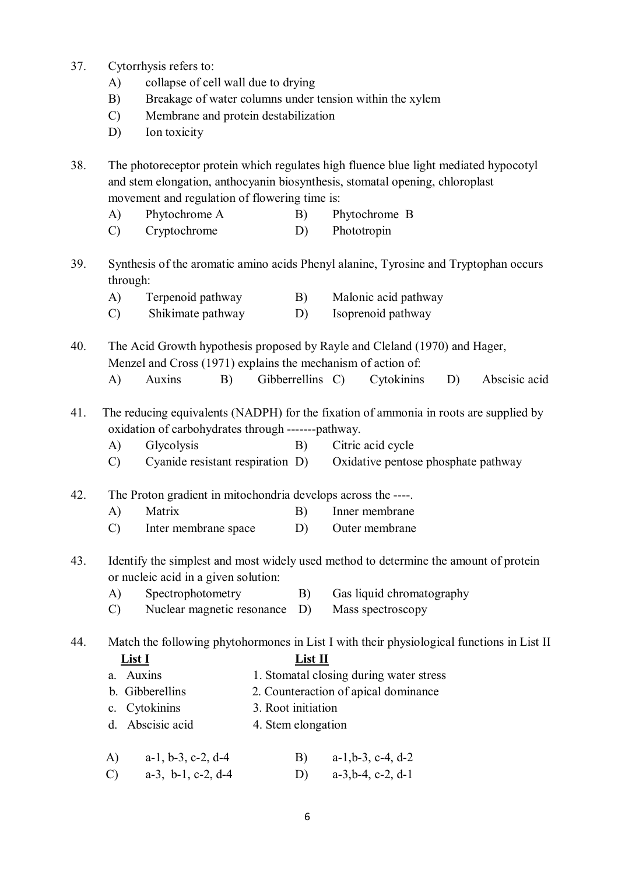- 37. Cytorrhysis refers to:
	- A) collapse of cell wall due to drying
	- B) Breakage of water columns under tension within the xylem
	- C) Membrane and protein destabilization
	- D) Ion toxicity

38. The photoreceptor protein which regulates high fluence blue light mediated hypocotyl and stem elongation, anthocyanin biosynthesis, stomatal opening, chloroplast movement and regulation of flowering time is:

- A) Phytochrome A B) Phytochrome B
- C) Cryptochrome D) Phototropin
- 39. Synthesis of the aromatic amino acids Phenyl alanine, Tyrosine and Tryptophan occurs through:
	- A) Terpenoid pathway B) Malonic acid pathway
	- C) Shikimate pathway D) Isoprenoid pathway
- 40. The Acid Growth hypothesis proposed by Rayle and Cleland (1970) and Hager, Menzel and Cross (1971) explains the mechanism of action of:
	- A) Auxins B) Gibberrellins C) Cytokinins D) Abscisic acid
- 41. The reducing equivalents (NADPH) for the fixation of ammonia in roots are supplied by oxidation of carbohydrates through -------pathway.
	- A) Glycolysis B) Citric acid cycle

C) Cyanide resistant respiration D) Oxidative pentose phosphate pathway

42. The Proton gradient in mitochondria develops across the ----.

- A) Matrix B) Inner membrane
- C) Inter membrane space D) Outer membrane
- 43. Identify the simplest and most widely used method to determine the amount of protein or nucleic acid in a given solution:
	- A) Spectrophotometry B) Gas liquid chromatography
	- C) Nuclear magnetic resonance D) Mass spectroscopy

44. Match the following phytohormones in List I with their physiological functions in List II

#### **List I List II**

- a. Auxins 1. Stomatal closing during water stress
- b. Gibberellins 2. Counteraction of apical dominance
- c. Cytokinins 3. Root initiation
- d. Abscisic acid 4. Stem elongation
- A) a-1, b-3, c-2, d-4 B) a-1,b-3, c-4, d-2
- C) a-3, b-1, c-2, d-4 D) a-3,b-4, c-2, d-1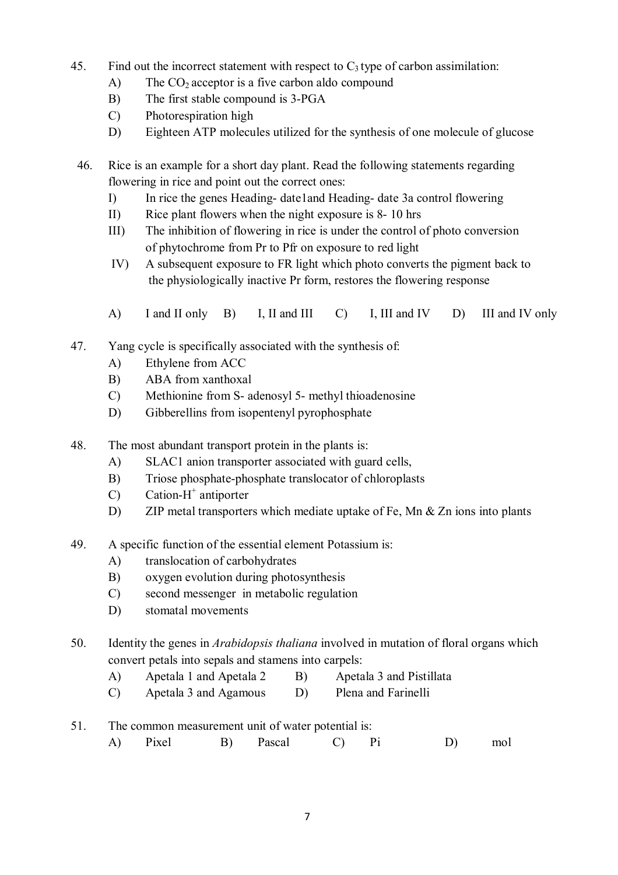- 45. Find out the incorrect statement with respect to  $C_3$  type of carbon assimilation:
	- A) The  $CO<sub>2</sub>$  acceptor is a five carbon aldo compound
	- B) The first stable compound is 3-PGA
	- C) Photorespiration high
	- D) Eighteen ATP molecules utilized for the synthesis of one molecule of glucose
- 46. Rice is an example for a short day plant. Read the following statements regarding flowering in rice and point out the correct ones:
	- I) In rice the genes Heading- date1and Heading- date 3a control flowering
	- II) Rice plant flowers when the night exposure is 8- 10 hrs
	- III) The inhibition of flowering in rice is under the control of photo conversion of phytochrome from Pr to Pfr on exposure to red light
	- IV) A subsequent exposure to FR light which photo converts the pigment back to the physiologically inactive Pr form, restores the flowering response
	- A) I and II only B) I, II and III C) I, III and IV D) III and IV only
- 47. Yang cycle is specifically associated with the synthesis of:
	- A) Ethylene from ACC
	- B) ABA from xanthoxal
	- C) Methionine from S- adenosyl 5- methyl thioadenosine
	- D) Gibberellins from isopentenyl pyrophosphate
- 48. The most abundant transport protein in the plants is:
	- A) SLAC1 anion transporter associated with guard cells,
	- B) Triose phosphate-phosphate translocator of chloroplasts
- C) Cation-H<sup>+</sup> antiporter
	- D) ZIP metal transporters which mediate uptake of Fe, Mn & Zn ions into plants
- 49. A specific function of the essential element Potassium is:
	- A) translocation of carbohydrates
	- B) oxygen evolution during photosynthesis
	- C) second messenger in metabolic regulation
	- D) stomatal movements
- 50. Identity the genes in *Arabidopsis thaliana* involved in mutation of floral organs which convert petals into sepals and stamens into carpels:
	- A) Apetala 1 and Apetala 2 B) Apetala 3 and Pistillata
	- C) Apetala 3 and Agamous D) Plena and Farinelli
- 51. The common measurement unit of water potential is:
	- A) Pixel B) Pascal C) Pi D) mol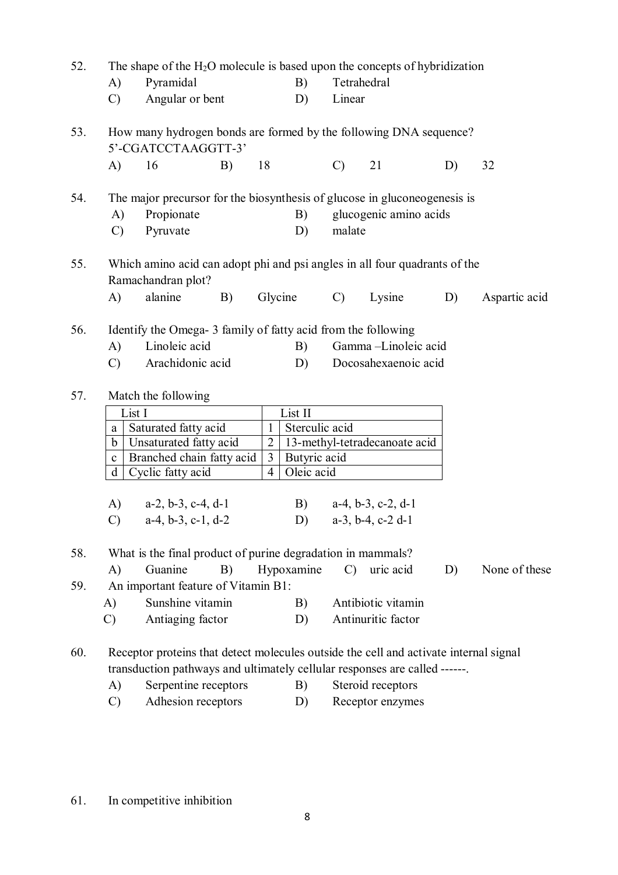| 52. | The shape of the $H_2O$ molecule is based upon the concepts of hybridization                                                                                               |                                                                                                                                                                     |    |                |                |                   |                                             |    |               |  |  |  |
|-----|----------------------------------------------------------------------------------------------------------------------------------------------------------------------------|---------------------------------------------------------------------------------------------------------------------------------------------------------------------|----|----------------|----------------|-------------------|---------------------------------------------|----|---------------|--|--|--|
|     | $\mathbf{A}$                                                                                                                                                               | Pyramidal                                                                                                                                                           |    | B)             | Tetrahedral    |                   |                                             |    |               |  |  |  |
|     | $\mathcal{C}$                                                                                                                                                              | D)<br>Angular or bent                                                                                                                                               |    |                |                |                   | Linear                                      |    |               |  |  |  |
| 53. | How many hydrogen bonds are formed by the following DNA sequence?<br>5'-CGATCCTAAGGTT-3'                                                                                   |                                                                                                                                                                     |    |                |                |                   |                                             |    |               |  |  |  |
|     | A)                                                                                                                                                                         | 16                                                                                                                                                                  | B) | 18             |                | $\mathcal{C}$     | 21                                          | D) | 32            |  |  |  |
| 54. | The major precursor for the biosynthesis of glucose in gluconeogenesis is<br>glucogenic amino acids<br>Propionate<br>B)<br>A)<br>Pyruvate<br>$\mathcal{C}$<br>D)<br>malate |                                                                                                                                                                     |    |                |                |                   |                                             |    |               |  |  |  |
| 55. | $\mathbf{A}$                                                                                                                                                               | Which amino acid can adopt phi and psi angles in all four quadrants of the<br>Ramachandran plot?<br>alanine                                                         | B) |                | Glycine        | $\mathcal{C}$     | Lysine                                      | D) | Aspartic acid |  |  |  |
| 56. | $\bf{A}$<br>$\mathcal{C}$                                                                                                                                                  | Identify the Omega- 3 family of fatty acid from the following<br>Linoleic acid<br>B)<br>Arachidonic acid<br>D)                                                      |    |                |                |                   | Gamma-Linoleic acid<br>Docosahexaenoic acid |    |               |  |  |  |
| 57. |                                                                                                                                                                            | Match the following                                                                                                                                                 |    |                |                |                   |                                             |    |               |  |  |  |
|     |                                                                                                                                                                            | List I                                                                                                                                                              |    |                | List II        |                   |                                             |    |               |  |  |  |
|     | a                                                                                                                                                                          | Saturated fatty acid                                                                                                                                                |    | $\mathbf{1}$   | Sterculic acid |                   |                                             |    |               |  |  |  |
|     | b                                                                                                                                                                          | Unsaturated fatty acid                                                                                                                                              |    | $\overline{2}$ |                |                   | 13-methyl-tetradecanoate acid               |    |               |  |  |  |
|     | $\mathbf{C}$                                                                                                                                                               | Branched chain fatty acid                                                                                                                                           |    | 3              | Butyric acid   |                   |                                             |    |               |  |  |  |
|     | d                                                                                                                                                                          | Cyclic fatty acid                                                                                                                                                   |    | $\overline{4}$ | Oleic acid     |                   |                                             |    |               |  |  |  |
|     |                                                                                                                                                                            |                                                                                                                                                                     |    |                |                |                   |                                             |    |               |  |  |  |
|     |                                                                                                                                                                            | A) $a-2, b-3, c-4, d-1$                                                                                                                                             |    |                |                |                   | B) $a-4, b-3, c-2, d-1$                     |    |               |  |  |  |
|     | $\mathcal{C}$ )                                                                                                                                                            | $a-4, b-3, c-1, d-2$                                                                                                                                                |    |                |                |                   | D) $a-3$ , b-4, c-2 d-1                     |    |               |  |  |  |
| 58. |                                                                                                                                                                            | What is the final product of purine degradation in mammals?                                                                                                         |    |                |                |                   |                                             |    |               |  |  |  |
|     | $\bf{A}$                                                                                                                                                                   | Guanine                                                                                                                                                             | B) |                | Hypoxamine     | $\mathcal{C}$     | uric acid                                   | D) | None of these |  |  |  |
| 59. |                                                                                                                                                                            |                                                                                                                                                                     |    |                |                |                   |                                             |    |               |  |  |  |
|     | A)                                                                                                                                                                         | An important feature of Vitamin B1:<br>Sunshine vitamin                                                                                                             |    |                |                |                   | Antibiotic vitamin                          |    |               |  |  |  |
|     | $\mathcal{C}$                                                                                                                                                              | Antiaging factor                                                                                                                                                    |    |                | B)<br>D)       |                   | Antinuritic factor                          |    |               |  |  |  |
|     |                                                                                                                                                                            |                                                                                                                                                                     |    |                |                |                   |                                             |    |               |  |  |  |
| 60. |                                                                                                                                                                            | Receptor proteins that detect molecules outside the cell and activate internal signal<br>transduction pathways and ultimately cellular responses are called ------. |    |                |                |                   |                                             |    |               |  |  |  |
|     | A)                                                                                                                                                                         | Serpentine receptors                                                                                                                                                |    |                | B)             | Steroid receptors |                                             |    |               |  |  |  |
|     | $\mathcal{C}$                                                                                                                                                              | Adhesion receptors                                                                                                                                                  |    |                | D)             |                   | Receptor enzymes                            |    |               |  |  |  |
|     |                                                                                                                                                                            |                                                                                                                                                                     |    |                |                |                   |                                             |    |               |  |  |  |

61. In competitive inhibition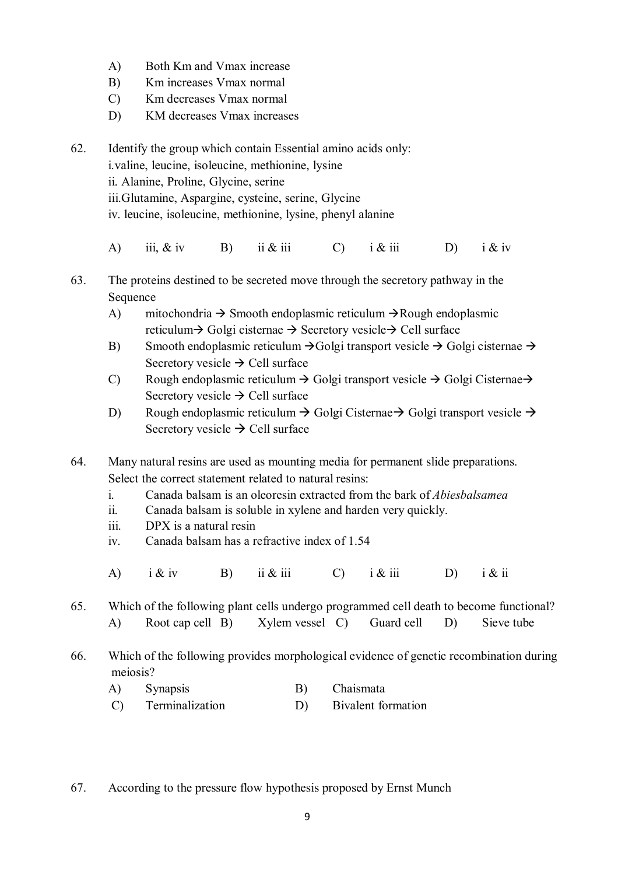- A) Both Km and Vmax increase
- B) Km increases Vmax normal
- C) Km decreases Vmax normal
- D) KM decreases Vmax increases
- 62. Identify the group which contain Essential amino acids only: i.valine, leucine, isoleucine, methionine, lysine ii. Alanine, Proline, Glycine, serine iii.Glutamine, Aspargine, cysteine, serine, Glycine iv. leucine, isoleucine, methionine, lysine, phenyl alanine
	- A) iii, & iv B) ii & iii C) i & iii D) i & iv
- 63. The proteins destined to be secreted move through the secretory pathway in the **Sequence** 
	- A) mitochondria  $\rightarrow$  Smooth endoplasmic reticulum  $\rightarrow$  Rough endoplasmic reticulum  $\rightarrow$  Golgi cisternae  $\rightarrow$  Secretory vesicle  $\rightarrow$  Cell surface
	- B) Smooth endoplasmic reticulum  $\rightarrow$  Golgi transport vesicle  $\rightarrow$  Golgi cisternae  $\rightarrow$ Secretory vesicle  $\rightarrow$  Cell surface
	- C) Rough endoplasmic reticulum  $\rightarrow$  Golgi transport vesicle  $\rightarrow$  Golgi Cisternae $\rightarrow$ Secretory vesicle  $\rightarrow$  Cell surface
	- D) Rough endoplasmic reticulum  $\rightarrow$  Golgi Cisternae  $\rightarrow$  Golgi transport vesicle  $\rightarrow$ Secretory vesicle  $\rightarrow$  Cell surface
- 64. Many natural resins are used as mounting media for permanent slide preparations. Select the correct statement related to natural resins:
	- i. Canada balsam is an oleoresin extracted from the bark of *Abiesbalsamea*
	- ii. Canada balsam is soluble in xylene and harden very quickly.
	- iii. DPX is a natural resin
	- iv. Canada balsam has a refractive index of 1.54
	- A) i & iv B) ii & iii C) i & iii D) i & ii

65. Which of the following plant cells undergo programmed cell death to become functional? A) Root cap cell B) Xylem vessel C) Guard cell D) Sieve tube

- 66. Which of the following provides morphological evidence of genetic recombination during meiosis?
	- A) Synapsis B) Chaismata
	- C) Terminalization D) Bivalent formation
- 67. According to the pressure flow hypothesis proposed by Ernst Munch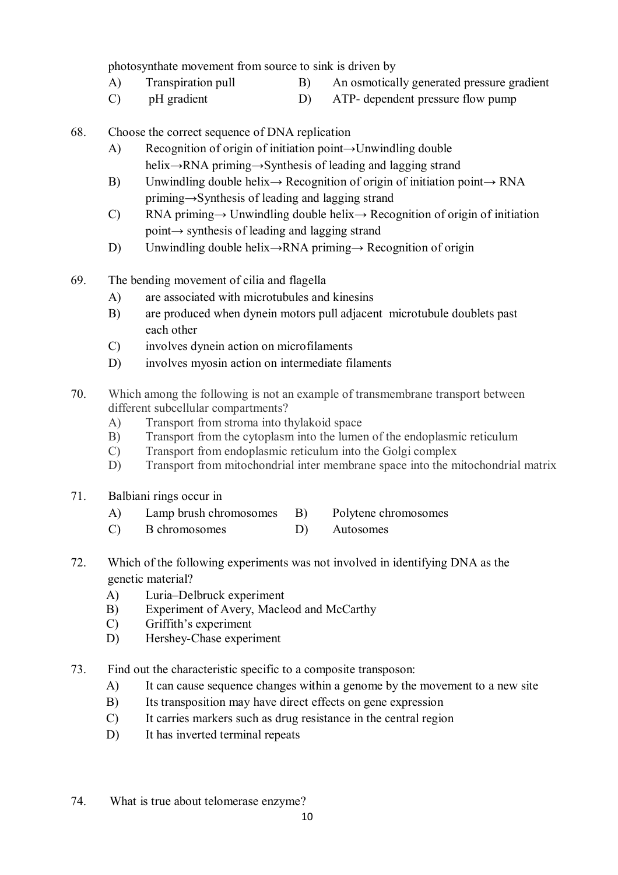photosynthate movement from source to sink is driven by

- A) Transpiration pull B) An osmotically generated pressure gradient
- C) pH gradient D) ATP- dependent pressure flow pump
- 68. Choose the correct sequence of DNA replication
	- A) Recognition of origin of initiation point→Unwindling double helix→RNA priming→Synthesis of leading and lagging strand
	- B) Unwindling double helix $\rightarrow$  Recognition of origin of initiation point $\rightarrow$  RNA priming→Synthesis of leading and lagging strand
	- C) RNA priming $\rightarrow$  Unwindling double helix $\rightarrow$  Recognition of origin of initiation point→ synthesis of leading and lagging strand
	- D) Unwindling double helix→RNA priming→ Recognition of origin
- 69. The bending movement of cilia and flagella
	- A) are associated with microtubules and kinesins
	- B) are produced when dynein motors pull adjacent microtubule doublets past each other
	- C) involves dynein action on microfilaments
	- D) involves myosin action on intermediate filaments
- 70. Which among the following is not an example of transmembrane transport between different subcellular compartments?
	- A) Transport from stroma into thylakoid space
	- B) Transport from the cytoplasm into the lumen of the endoplasmic reticulum
	- C) Transport from endoplasmic reticulum into the Golgi complex
	- D) Transport from mitochondrial inter membrane space into the mitochondrial matrix
- 71. Balbiani rings occur in
	- A) Lamp brush chromosomes B) Polytene chromosomes
	- C) B chromosomes D) Autosomes
- 72. Which of the following experiments was not involved in identifying DNA as the genetic material?
	- A) Luria–Delbruck experiment
	- B) Experiment of Avery, Macleod and McCarthy
	- C) Griffith's experiment
	- D) Hershey-Chase experiment
- 73. Find out the characteristic specific to a composite transposon:
	- A) It can cause sequence changes within a genome by the movement to a new site
	- B) Its transposition may have direct effects on gene expression
	- C) It carries markers such as drug resistance in the central region
	- D) It has inverted terminal repeats
- 74. What is true about telomerase enzyme?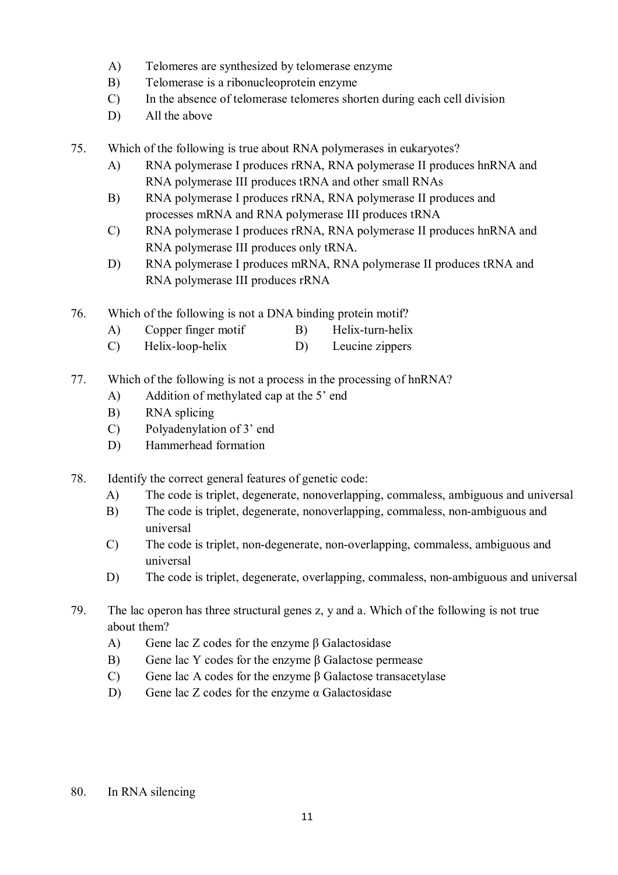- A) Telomeres are synthesized by telomerase enzyme
- B) Telomerase is a ribonucleoprotein enzyme
- C) In the absence of telomerase telomeres shorten during each cell division
- D) All the above
- 75. Which of the following is true about RNA polymerases in eukaryotes?
	- A) RNA polymerase I produces rRNA, RNA polymerase II produces hnRNA and RNA polymerase III produces tRNA and other small RNAs
	- B) RNA polymerase I produces rRNA, RNA polymerase II produces and processes mRNA and RNA polymerase III produces tRNA
	- C) RNA polymerase I produces rRNA, RNA polymerase II produces hnRNA and RNA polymerase III produces only tRNA.
	- D) RNA polymerase I produces mRNA, RNA polymerase II produces tRNA and RNA polymerase III produces rRNA
- 76. Which of the following is not a DNA binding protein motif?
	- A) Copper finger motif B) Helix-turn-helix
	- C) Helix-loop-helix D) Leucine zippers
- 77. Which of the following is not a process in the processing of hnRNA?
	- A) Addition of methylated cap at the 5' end
	- B) RNA splicing
	- C) Polyadenylation of 3' end
	- D) Hammerhead formation
- 78. Identify the correct general features of genetic code:
	- A) The code is triplet, degenerate, nonoverlapping, commaless, ambiguous and universal
	- B) The code is triplet, degenerate, nonoverlapping, commaless, non-ambiguous and universal
	- C) The code is triplet, non-degenerate, non-overlapping, commaless, ambiguous and universal
	- D) The code is triplet, degenerate, overlapping, commaless, non-ambiguous and universal
- 79. The lac operon has three structural genes z, y and a. Which of the following is not true about them?
	- A) Gene lac Z codes for the enzyme β Galactosidase
	- B) Gene lac Y codes for the enzyme β Galactose permease
	- C) Gene lac A codes for the enzyme β Galactose transacetylase
	- D) Gene lac Z codes for the enzyme  $\alpha$  Galactosidase
- 80. In RNA silencing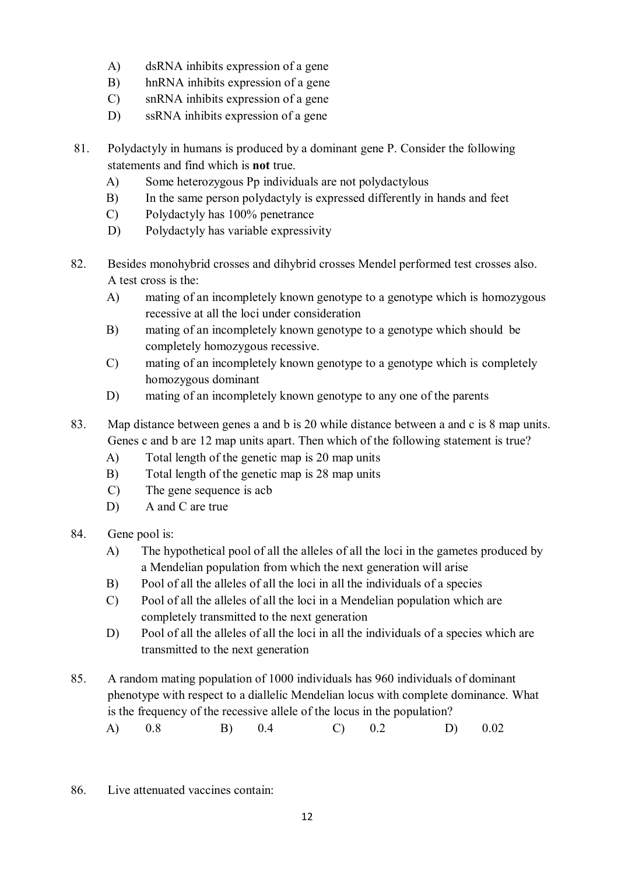- A) dsRNA inhibits expression of a gene
- B) hnRNA inhibits expression of a gene
- C) snRNA inhibits expression of a gene
- D) ssRNA inhibits expression of a gene
- 81. Polydactyly in humans is produced by a dominant gene P. Consider the following statements and find which is **not** true.
	- A) Some heterozygous Pp individuals are not polydactylous
	- B) In the same person polydactyly is expressed differently in hands and feet
	- C) Polydactyly has 100% penetrance
	- D) Polydactyly has variable expressivity
- 82. Besides monohybrid crosses and dihybrid crosses Mendel performed test crosses also. A test cross is the:
	- A) mating of an incompletely known genotype to a genotype which is homozygous recessive at all the loci under consideration
	- B) mating of an incompletely known genotype to a genotype which should be completely homozygous recessive.
	- C) mating of an incompletely known genotype to a genotype which is completely homozygous dominant
	- D) mating of an incompletely known genotype to any one of the parents
- 83. Map distance between genes a and b is 20 while distance between a and c is 8 map units. Genes c and b are 12 map units apart. Then which of the following statement is true?
	- A) Total length of the genetic map is 20 map units
	- B) Total length of the genetic map is 28 map units
	- C) The gene sequence is acb
	- D) A and C are true
- 84. Gene pool is:
	- A) The hypothetical pool of all the alleles of all the loci in the gametes produced by a Mendelian population from which the next generation will arise
	- B) Pool of all the alleles of all the loci in all the individuals of a species
	- C) Pool of all the alleles of all the loci in a Mendelian population which are completely transmitted to the next generation
	- D) Pool of all the alleles of all the loci in all the individuals of a species which are transmitted to the next generation
- 85. A random mating population of 1000 individuals has 960 individuals of dominant phenotype with respect to a diallelic Mendelian locus with complete dominance. What is the frequency of the recessive allele of the locus in the population?
	- A) 0.8 B) 0.4 C) 0.2 D) 0.02
- 86. Live attenuated vaccines contain: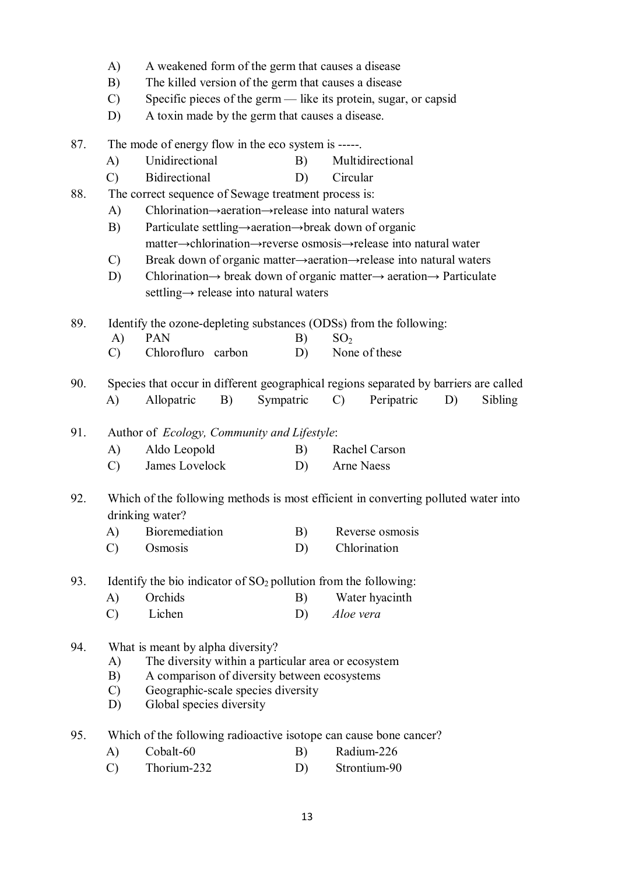- A) A weakened form of the germ that causes a disease
- B) The killed version of the germ that causes a disease
- C) Specific pieces of the germ like its protein, sugar, or capsid
- D) A toxin made by the germ that causes a disease.
- 87. The mode of energy flow in the eco system is -----.
	- A) Unidirectional B) Multidirectional
	- C) Bidirectional D) Circular
- 88. The correct sequence of Sewage treatment process is:
	- A) Chlorination→aeration→release into natural waters
	- B) Particulate settling→aeration→break down of organic matter→chlorination→reverse osmosis→release into natural water
	- C) Break down of organic matter→aeration→release into natural waters
	- D) Chlorination→ break down of organic matter→ aeration→ Particulate settling→ release into natural waters

89. Identify the ozone-depleting substances (ODSs) from the following:

- A) PAN B)  $SO_2$
- C) Chlorofluro carbon D) None of these
- 90. Species that occur in different geographical regions separated by barriers are called A) Allopatric B) Sympatric C) Peripatric D) Sibling
- 91. Author of *Ecology, Community and Lifestyle*:
	- A) Aldo Leopold B) Rachel Carson
	- C) James Lovelock D) Arne Naess
- 92. Which of the following methods is most efficient in converting polluted water into drinking water?
	- A) Bioremediation B) Reverse osmosis
	- C) Osmosis D) Chlorination

93. Identify the bio indicator of  $SO_2$  pollution from the following:

- A) Orchids B) Water hyacinth
	- C) Lichen D) *Aloe vera*
- 94. What is meant by alpha diversity?
	- A) The diversity within a particular area or ecosystem
	- B) A comparison of diversity between ecosystems
	- C) Geographic-scale species diversity
	- D) Global species diversity
- 95. Which of the following radioactive isotope can cause bone cancer?
	- A) Cobalt-60 B) Radium-226
	- C) Thorium-232 D) Strontium-90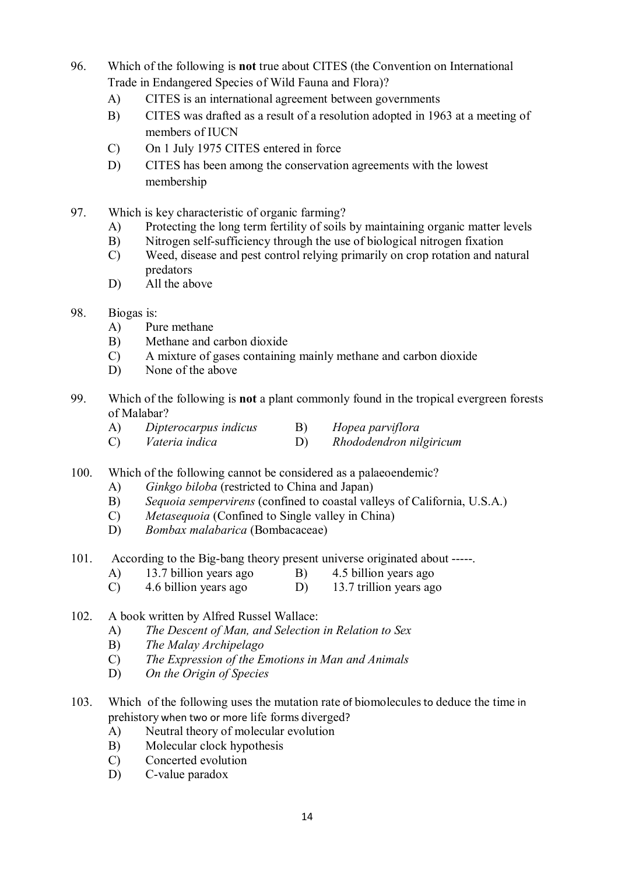- 96. Which of the following is **not** true about CITES (the Convention on International Trade in Endangered Species of Wild Fauna and Flora)?
	- A) CITES is an international agreement between governments
	- B) CITES was drafted as a result of a resolution adopted in 1963 at a meeting of members of IUCN
	- C) On 1 July 1975 CITES entered in force
	- D) CITES has been among the conservation agreements with the lowest membership
- 97. Which is key characteristic of organic farming?
	- A) Protecting the long term fertility of soils by maintaining organic matter levels
	- B) Nitrogen self-sufficiency through the use of biological nitrogen fixation
	- C) Weed, disease and pest control relying primarily on crop rotation and natural predators
	- D) All the above
- 98. Biogas is:
	- A) Pure methane
	- B) Methane and carbon dioxide
	- C) A mixture of gases containing mainly methane and carbon dioxide
	- D) None of the above
- 99. Which of the following is **not** a plant commonly found in the tropical evergreen forests of Malabar?
	- A) *Dipterocarpus indicus* B) *Hopea parviflora*
	- C) *Vateria indica* D) *Rhododendron nilgiricum*
- 100. Which of the following cannot be considered as a palaeoendemic?
	- A) *Ginkgo biloba* (restricted to China and Japan)
	- B) *Sequoia sempervirens* (confined to coastal valleys of California, U.S.A.)
	- C) *Metasequoia* (Confined to Single valley in China)
	- D) *Bombax malabarica* (Bombacaceae)
- 101. According to the Big-bang theory present universe originated about -----.
	- A) 13.7 billion years ago B) 4.5 billion years ago
	- C) 4.6 billion years ago D) 13.7 trillion years ago
- 102. A book written by Alfred Russel Wallace:
	- A) *The Descent of Man, and Selection in Relation to Sex*
	- B) *The Malay Archipelago*
	- C) *The Expression of the Emotions in Man and Animals*
	- D) *On the Origin of Species*
- 103. Which of the following uses the mutation rate of biomoleculesto deduce the time in prehistory when two or more life forms diverged?
	- A) Neutral theory of molecular evolution
	- B) Molecular clock hypothesis
	- C) Concerted evolution
	- D) C-value paradox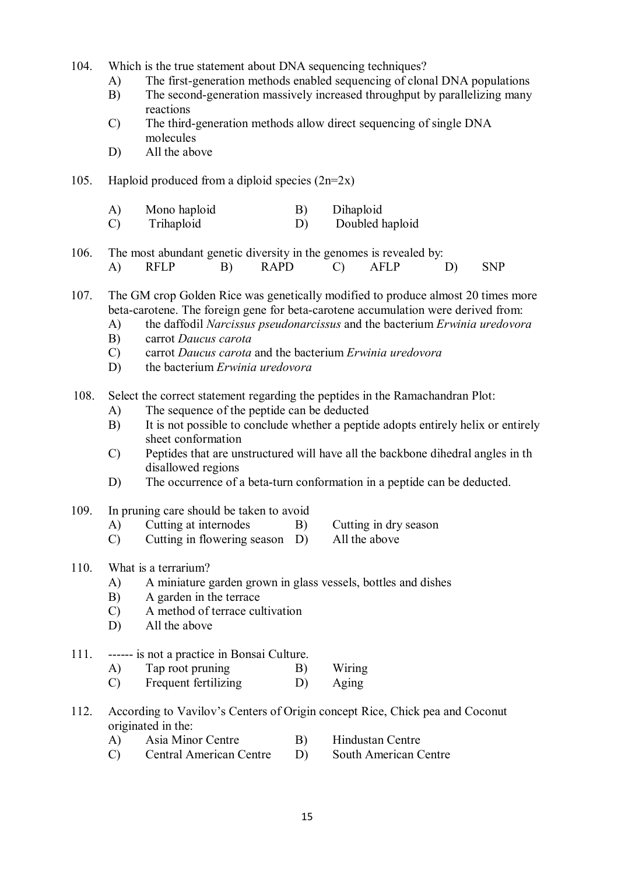- 104. Which is the true statement about DNA sequencing techniques?
	- A) The first-generation methods enabled sequencing of clonal DNA populations
	- B) The second-generation massively increased throughput by parallelizing many reactions
	- C) The third-generation methods allow direct sequencing of single DNA molecules
	- D) All the above
- 105. Haploid produced from a diploid species  $(2n=2x)$ 
	- A) Mono haploid B) Dihaploid
	- C) Trihaploid D) Doubled haploid
- 106. The most abundant genetic diversity in the genomes is revealed by: A) RFLP B) RAPD C) AFLP D) SNP
- 107. The GM crop Golden Rice was genetically modified to produce almost 20 times more beta-carotene. The foreign gene for beta-carotene accumulation were derived from:
	- A) the daffodil *Narcissus pseudonarcissus* and the bacterium *Erwinia uredovora*
	- B) carrot *Daucus carota*
	- C) carrot *Daucus carota* and the bacterium *Erwinia uredovora*
	- D) the bacterium *Erwinia uredovora*
- 108. Select the correct statement regarding the peptides in the Ramachandran Plot:
	- A) The sequence of the peptide can be deducted
	- B) It is not possible to conclude whether a peptide adopts entirely helix or entirely sheet conformation
	- C) Peptides that are unstructured will have all the backbone dihedral angles in th disallowed regions
	- D) The occurrence of a beta-turn conformation in a peptide can be deducted.
- 109. In pruning care should be taken to avoid
	- A) Cutting at internodes B) Cutting in dry season
	- C) Cutting in flowering season D) All the above
- -

#### 110. What is a terrarium?

- A) A miniature garden grown in glass vessels, bottles and dishes
- B) A garden in the terrace
- C) A method of terrace cultivation
- D) All the above
- 111. ------ is not a practice in Bonsai Culture.
	- A) Tap root pruning B) Wiring
	- C) Frequent fertilizing D) Aging
- 112. According to Vavilov's Centers of Origin concept Rice, Chick pea and Coconut originated in the:
	- A) Asia Minor Centre B) Hindustan Centre
	- C) Central American Centre D) South American Centre